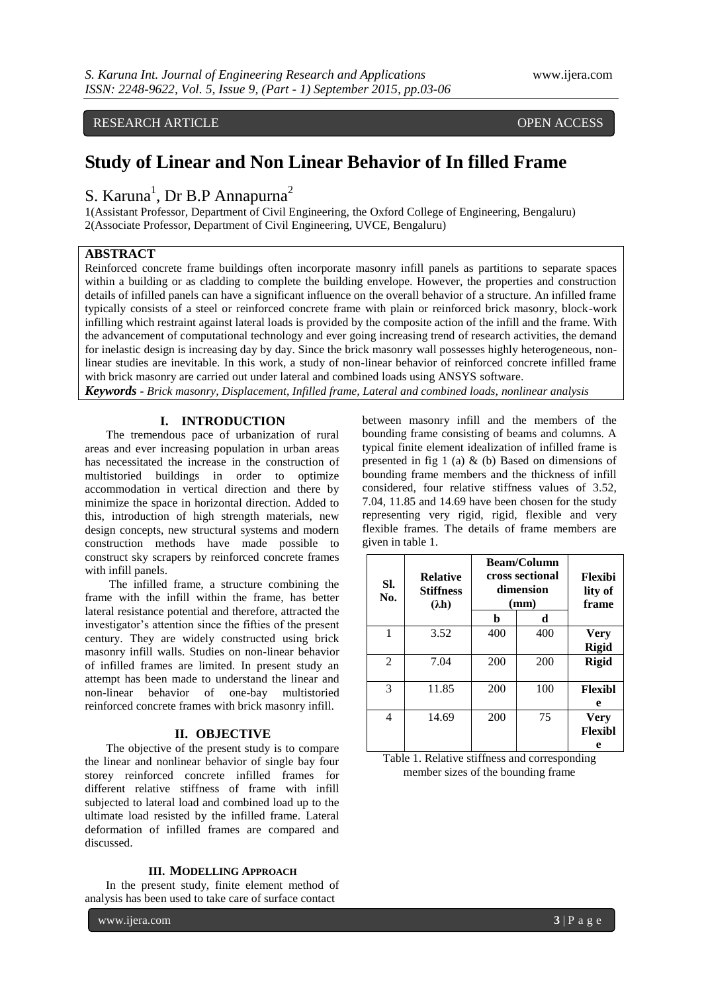## RESEARCH ARTICLE OPEN ACCESS

# **Study of Linear and Non Linear Behavior of In filled Frame**

S. Karuna<sup>1</sup>, Dr B.P Annapurna<sup>2</sup>

1(Assistant Professor, Department of Civil Engineering, the Oxford College of Engineering, Bengaluru) 2(Associate Professor, Department of Civil Engineering, UVCE, Bengaluru)

### **ABSTRACT**

Reinforced concrete frame buildings often incorporate masonry infill panels as partitions to separate spaces within a building or as cladding to complete the building envelope. However, the properties and construction details of infilled panels can have a significant influence on the overall behavior of a structure. An infilled frame typically consists of a steel or reinforced concrete frame with plain or reinforced brick masonry, block-work infilling which restraint against lateral loads is provided by the composite action of the infill and the frame. With the advancement of computational technology and ever going increasing trend of research activities, the demand for inelastic design is increasing day by day. Since the brick masonry wall possesses highly heterogeneous, nonlinear studies are inevitable. In this work, a study of non-linear behavior of reinforced concrete infilled frame with brick masonry are carried out under lateral and combined loads using ANSYS software.

*Keywords* **-** *Brick masonry, Displacement, Infilled frame, Lateral and combined loads, nonlinear analysis*

#### **I. INTRODUCTION**

The tremendous pace of urbanization of rural areas and ever increasing population in urban areas has necessitated the increase in the construction of multistoried buildings in order to optimize accommodation in vertical direction and there by minimize the space in horizontal direction. Added to this, introduction of high strength materials, new design concepts, new structural systems and modern construction methods have made possible to construct sky scrapers by reinforced concrete frames with infill panels.

The infilled frame, a structure combining the frame with the infill within the frame, has better lateral resistance potential and therefore, attracted the investigator's attention since the fifties of the present century. They are widely constructed using brick masonry infill walls. Studies on non-linear behavior of infilled frames are limited. In present study an attempt has been made to understand the linear and non-linear behavior of one-bay multistoried reinforced concrete frames with brick masonry infill.

#### **II. OBJECTIVE**

The objective of the present study is to compare the linear and nonlinear behavior of single bay four storey reinforced concrete infilled frames for different relative stiffness of frame with infill subjected to lateral load and combined load up to the ultimate load resisted by the infilled frame. Lateral deformation of infilled frames are compared and discussed.

#### **III. MODELLING APPROACH**

In the present study, finite element method of analysis has been used to take care of surface contact

between masonry infill and the members of the bounding frame consisting of beams and columns. A typical finite element idealization of infilled frame is presented in fig  $1$  (a)  $\&$  (b) Based on dimensions of bounding frame members and the thickness of infill considered, four relative stiffness values of 3.52, 7.04, 11.85 and 14.69 have been chosen for the study representing very rigid, rigid, flexible and very flexible frames. The details of frame members are given in table 1.

| Flexibi<br>lity of<br>frame | <b>Beam/Column</b><br>cross sectional<br>dimension<br>(mm) |     | <b>Relative</b><br><b>Stiffness</b><br>$(\lambda h)$ | SI.<br>No.     |
|-----------------------------|------------------------------------------------------------|-----|------------------------------------------------------|----------------|
|                             | d                                                          | b   |                                                      |                |
| <b>Very</b>                 | 400                                                        | 400 | 3.52                                                 | 1              |
| <b>Rigid</b>                |                                                            |     |                                                      |                |
| <b>Rigid</b>                | 200                                                        | 200 | 7.04                                                 | $\mathfrak{D}$ |
| <b>Flexibl</b>              | 100                                                        | 200 | 11.85                                                | 3              |
| e                           |                                                            |     |                                                      |                |
| <b>Very</b><br>Flexibl      | 75                                                         | 200 | 14.69                                                | 4              |
| e                           |                                                            |     |                                                      |                |

Table 1. Relative stiffness and corresponding member sizes of the bounding frame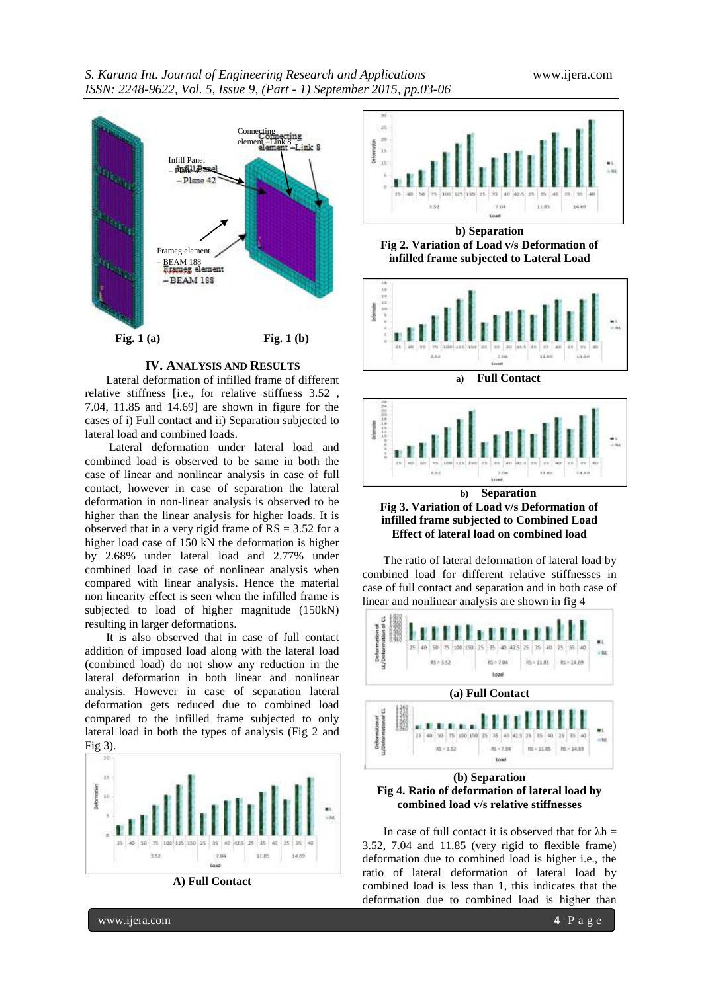

#### **IV. ANALYSIS AND RESULTS**

Lateral deformation of infilled frame of different relative stiffness [i.e., for relative stiffness 3.52 , 7.04, 11.85 and 14.69] are shown in figure for the cases of i) Full contact and ii) Separation subjected to lateral load and combined loads.

Lateral deformation under lateral load and combined load is observed to be same in both the case of linear and nonlinear analysis in case of full contact, however in case of separation the lateral deformation in non-linear analysis is observed to be higher than the linear analysis for higher loads. It is observed that in a very rigid frame of  $RS = 3.52$  for a higher load case of 150 kN the deformation is higher by 2.68% under lateral load and 2.77% under combined load in case of nonlinear analysis when compared with linear analysis. Hence the material non linearity effect is seen when the infilled frame is subjected to load of higher magnitude (150kN) resulting in larger deformations.

It is also observed that in case of full contact addition of imposed load along with the lateral load (combined load) do not show any reduction in the lateral deformation in both linear and nonlinear analysis. However in case of separation lateral deformation gets reduced due to combined load compared to the infilled frame subjected to only lateral load in both the types of analysis (Fig 2 and Fig 3)







**b) Separation Fig 2. Variation of Load v/s Deformation of infilled frame subjected to Lateral Load**







**Fig 3. Variation of Load v/s Deformation of infilled frame subjected to Combined Load Effect of lateral load on combined load**

The ratio of lateral deformation of lateral load by combined load for different relative stiffnesses in case of full contact and separation and in both case of linear and nonlinear analysis are shown in fig 4



**Fig 4. Ratio of deformation of lateral load by combined load v/s relative stiffnesses**

In case of full contact it is observed that for  $\lambda h =$ 3.52, 7.04 and 11.85 (very rigid to flexible frame) deformation due to combined load is higher i.e., the ratio of lateral deformation of lateral load by combined load is less than 1, this indicates that the deformation due to combined load is higher than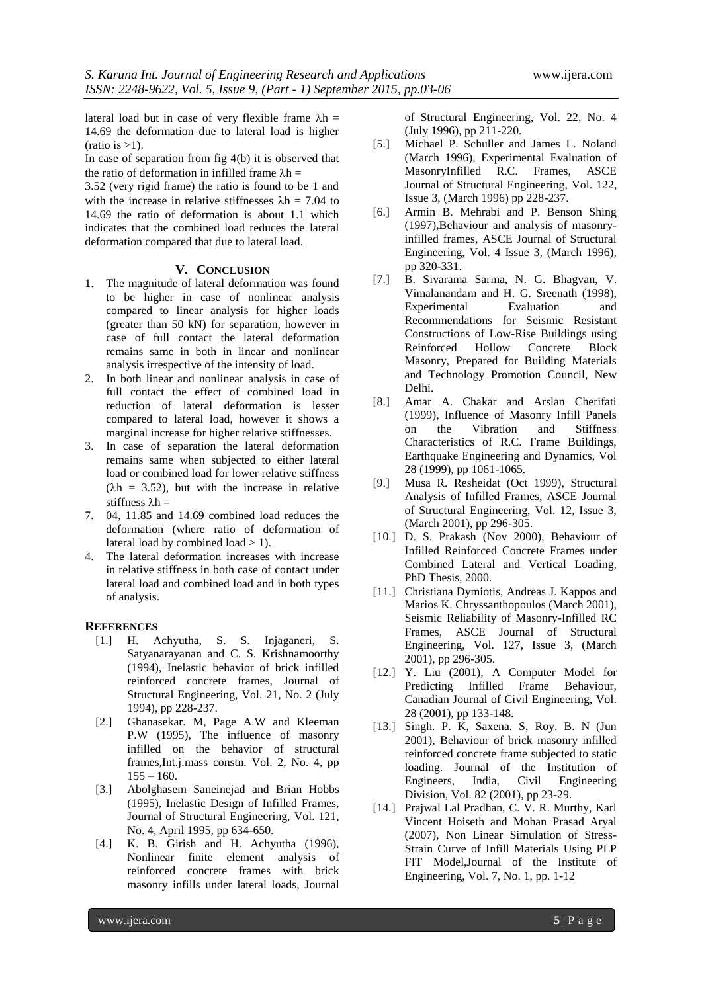lateral load but in case of very flexible frame  $\lambda h =$ 14.69 the deformation due to lateral load is higher  $(ratio is >1).$ 

In case of separation from fig  $4(b)$  it is observed that the ratio of deformation in infilled frame  $\lambda$ h =

3.52 (very rigid frame) the ratio is found to be 1 and with the increase in relative stiffnesses  $\lambda$ h = 7.04 to 14.69 the ratio of deformation is about 1.1 which indicates that the combined load reduces the lateral deformation compared that due to lateral load.

#### **V. CONCLUSION**

- 1. The magnitude of lateral deformation was found to be higher in case of nonlinear analysis compared to linear analysis for higher loads (greater than 50 kN) for separation, however in case of full contact the lateral deformation remains same in both in linear and nonlinear analysis irrespective of the intensity of load.
- 2. In both linear and nonlinear analysis in case of full contact the effect of combined load in reduction of lateral deformation is lesser compared to lateral load, however it shows a marginal increase for higher relative stiffnesses.
- 3. In case of separation the lateral deformation remains same when subjected to either lateral load or combined load for lower relative stiffness  $(\lambda h = 3.52)$ , but with the increase in relative stiffness  $\lambda h =$
- 7. 04, 11.85 and 14.69 combined load reduces the deformation (where ratio of deformation of lateral load by combined load  $> 1$ ).
- 4. The lateral deformation increases with increase in relative stiffness in both case of contact under lateral load and combined load and in both types of analysis.

#### **REFERENCES**

- [1.] H. Achyutha, S. S. Injaganeri, S. Satyanarayanan and C. S. Krishnamoorthy (1994), Inelastic behavior of brick infilled reinforced concrete frames, Journal of Structural Engineering, Vol. 21, No. 2 (July 1994), pp 228-237.
- [2.] Ghanasekar. M, Page A.W and Kleeman P.W (1995), The influence of masonry infilled on the behavior of structural frames,Int.j.mass constn. Vol. 2, No. 4, pp  $155 - 160.$
- [3.] Abolghasem Saneinejad and Brian Hobbs (1995), Inelastic Design of Infilled Frames, Journal of Structural Engineering, Vol. 121, No. 4, April 1995, pp 634-650.
- [4.] K. B. Girish and H. Achyutha (1996), Nonlinear finite element analysis of reinforced concrete frames with brick masonry infills under lateral loads, Journal

of Structural Engineering, Vol. 22, No. 4 (July 1996), pp 211-220.

- [5.] Michael P. Schuller and James L. Noland (March 1996), Experimental Evaluation of MasonryInfilled R.C. Frames, ASCE Journal of Structural Engineering, Vol. 122, Issue 3, (March 1996) pp 228-237.
- [6.] Armin B. Mehrabi and P. Benson Shing (1997),Behaviour and analysis of masonryinfilled frames, ASCE Journal of Structural Engineering, Vol. 4 Issue 3, (March 1996), pp 320-331.
- [7.] B. Sivarama Sarma, N. G. Bhagvan, V. Vimalanandam and H. G. Sreenath (1998), Experimental Evaluation Recommendations for Seismic Resistant Constructions of Low-Rise Buildings using Reinforced Hollow Concrete Block Masonry, Prepared for Building Materials and Technology Promotion Council, New Delhi.
- [8.] Amar A. Chakar and Arslan Cherifati (1999), Influence of Masonry Infill Panels on the Vibration and Stiffness Characteristics of R.C. Frame Buildings, Earthquake Engineering and Dynamics, Vol 28 (1999), pp 1061-1065.
- [9.] Musa R. Resheidat (Oct 1999), Structural Analysis of Infilled Frames, ASCE Journal of Structural Engineering, Vol. 12, Issue 3, (March 2001), pp 296-305.
- [10.] D. S. Prakash (Nov 2000), Behaviour of Infilled Reinforced Concrete Frames under Combined Lateral and Vertical Loading, PhD Thesis, 2000.
- [11.] Christiana Dymiotis, Andreas J. Kappos and Marios K. Chryssanthopoulos (March 2001), Seismic Reliability of Masonry-Infilled RC Frames, ASCE Journal of Structural Engineering, Vol. 127, Issue 3, (March 2001), pp 296-305.
- [12.] Y. Liu (2001), A Computer Model for Predicting Infilled Frame Behaviour, Canadian Journal of Civil Engineering, Vol. 28 (2001), pp 133-148.
- [13.] Singh. P. K, Saxena. S, Roy. B. N (Jun 2001), Behaviour of brick masonry infilled reinforced concrete frame subjected to static loading. Journal of the Institution of Engineers, India, Civil Engineering Division, Vol. 82 (2001), pp 23-29.
- [14.] Prajwal Lal Pradhan, C. V. R. Murthy, Karl Vincent Hoiseth and Mohan Prasad Aryal (2007), Non Linear Simulation of Stress-Strain Curve of Infill Materials Using PLP FIT Model,Journal of the Institute of Engineering, Vol. 7, No. 1, pp. 1-12